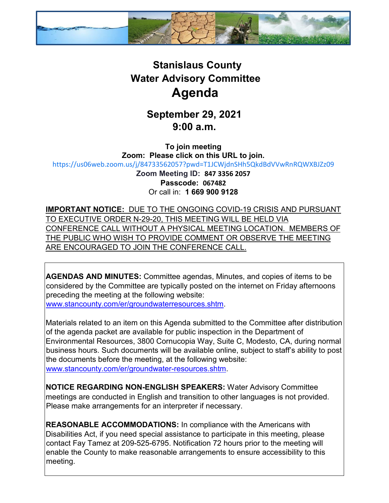

## **Stanislaus County Water Advisory Committee Agenda**

## **September 29, 2021 9:00 a.m.**

**To join meeting Zoom: Please click on this URL to join.** <https://us06web.zoom.us/j/84733562057?pwd=T1JCWjdnSHh5QkdBdVVwRnRQWXBJZz09> **Zoom Meeting ID: 847 3356 2057 Passcode: 067482** Or call in: **1 669 900 9128**

**IMPORTANT NOTICE:** DUE TO THE ONGOING COVID-19 CRISIS AND PURSUANT TO EXECUTIVE ORDER N-29-20, THIS MEETING WILL BE HELD VIA CONFERENCE CALL WITHOUT A PHYSICAL MEETING LOCATION. MEMBERS OF THE PUBLIC WHO WISH TO PROVIDE COMMENT OR OBSERVE THE MEETING ARE ENCOURAGED TO JOIN THE CONFERENCE CALL.

**AGENDAS AND MINUTES:** Committee agendas, Minutes, and copies of items to be considered by the Committee are typically posted on the internet on Friday afternoons preceding the meeting at the following website: [www.stancounty.com/er/groundwaterresources.shtm.](http://www.stancounty.com/er/groundwater-resources.shtm) 

Materials related to an item on this Agenda submitted to the Committee after distribution of the agenda packet are available for public inspection in the Department of Environmental Resources, 3800 Cornucopia Way, Suite C, Modesto, CA, during normal business hours. Such documents will be available online, subject to staff's ability to post the documents before the meeting, at the following website: [www.stancounty.com/er/groundwater-resources.shtm.](http://www.stancounty.com/er/groundwater-resources.shtm) 

**NOTICE REGARDING NON-ENGLISH SPEAKERS:** Water Advisory Committee meetings are conducted in English and transition to other languages is not provided. Please make arrangements for an interpreter if necessary.

**REASONABLE ACCOMMODATIONS:** In compliance with the Americans with Disabilities Act, if you need special assistance to participate in this meeting, please contact Fay Tamez at 209-525-6795. Notification 72 hours prior to the meeting will enable the County to make reasonable arrangements to ensure accessibility to this meeting.